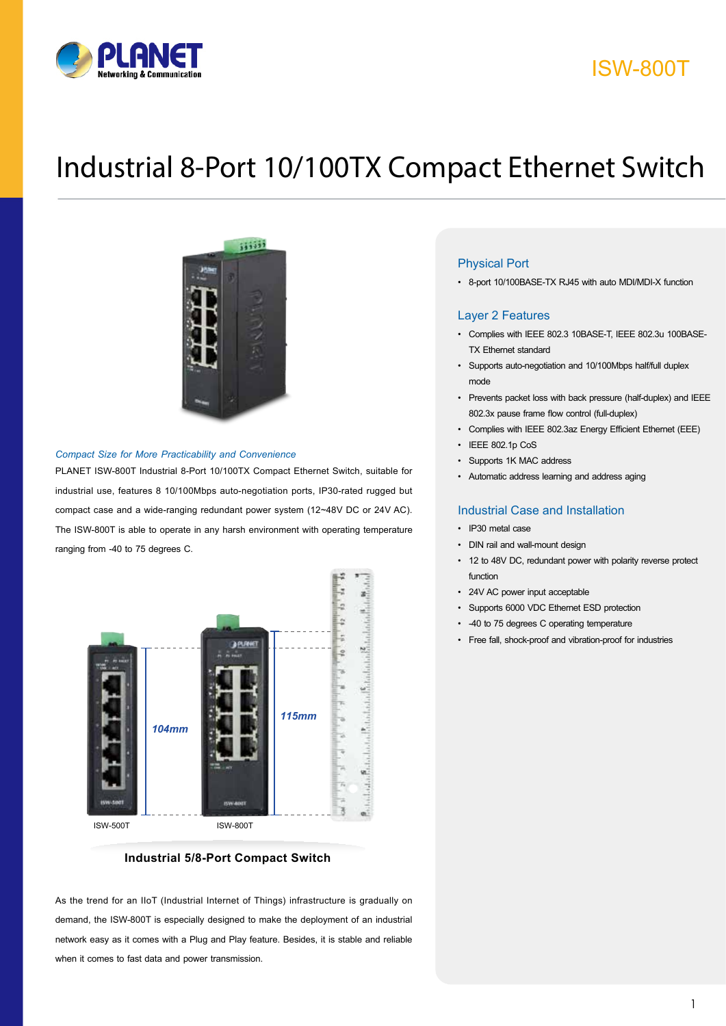

## ISW-800T

# Industrial 8-Port 10/100TX Compact Ethernet Switch



#### *Compact Size for More Practicability and Convenience*

PLANET ISW-800T Industrial 8-Port 10/100TX Compact Ethernet Switch, suitable for industrial use, features 8 10/100Mbps auto-negotiation ports, IP30-rated rugged but compact case and a wide-ranging redundant power system (12~48V DC or 24V AC). The ISW-800T is able to operate in any harsh environment with operating temperature ranging from -40 to 75 degrees C.



#### **Industrial 5/8-Port Compact Switch**

As the trend for an IIoT (Industrial Internet of Things) infrastructure is gradually on demand, the ISW-800T is especially designed to make the deployment of an industrial network easy as it comes with a Plug and Play feature. Besides, it is stable and reliable when it comes to fast data and power transmission.

#### Physical Port

• 8-port 10/100BASE-TX RJ45 with auto MDI/MDI-X function

#### Layer 2 Features

- • Complies with IEEE 802.3 10BASE-T, IEEE 802.3u 100BASE-TX Ethernet standard
- • Supports auto-negotiation and 10/100Mbps half/full duplex mode
- • Prevents packet loss with back pressure (half-duplex) and IEEE 802.3x pause frame flow control (full-duplex)
- • Complies with IEEE 802.3az Energy Efficient Ethernet (EEE)
- IEEE 802.1p CoS
- Supports 1K MAC address
- • Automatic address learning and address aging

#### Industrial Case and Installation

- • IP30 metal case
- DIN rail and wall-mount design
- • 12 to 48V DC, redundant power with polarity reverse protect function
- • 24V AC power input acceptable
- • Supports 6000 VDC Ethernet ESD protection
- • -40 to 75 degrees C operating temperature
- • Free fall, shock-proof and vibration-proof for industries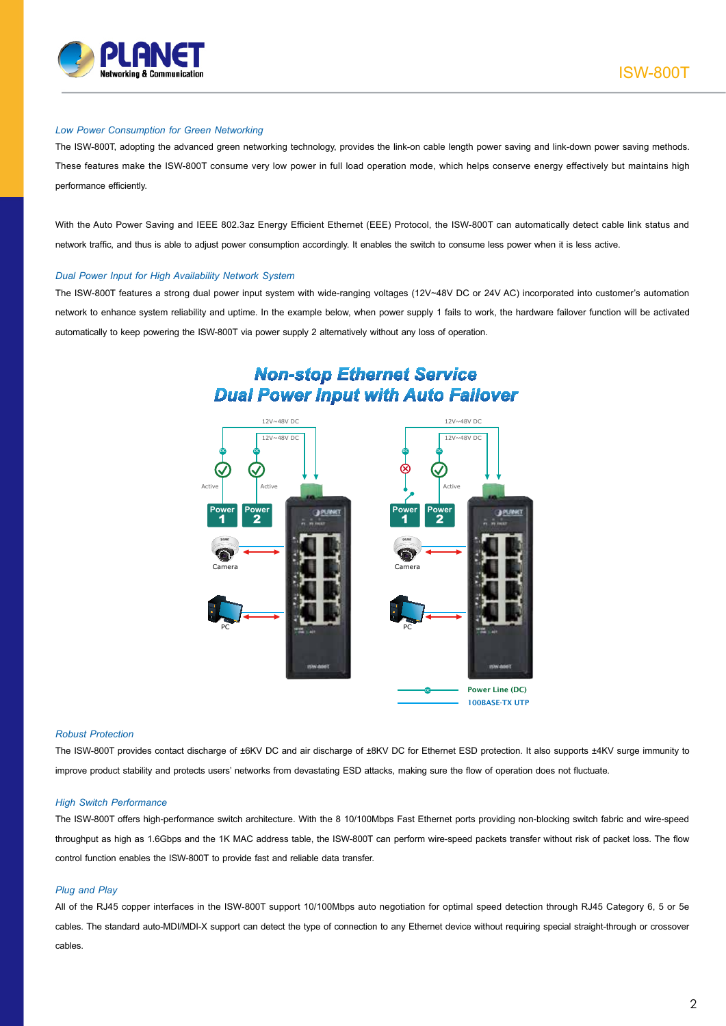

#### *Low Power Consumption for Green Networking*

The ISW-800T, adopting the advanced green networking technology, provides the link-on cable length power saving and link-down power saving methods. These features make the ISW-800T consume very low power in full load operation mode, which helps conserve energy effectively but maintains high performance efficiently.

With the Auto Power Saving and IEEE 802.3az Energy Efficient Ethernet (EEE) Protocol, the ISW-800T can automatically detect cable link status and network traffic, and thus is able to adjust power consumption accordingly. It enables the switch to consume less power when it is less active.

#### *Dual Power Input for High Availability Network System*

The ISW-800T features a strong dual power input system with wide-ranging voltages (12V~48V DC or 24V AC) incorporated into customer's automation network to enhance system reliability and uptime. In the example below, when power supply 1 fails to work, the hardware failover function will be activated automatically to keep powering the ISW-800T via power supply 2 alternatively without any loss of operation.

### **Non-stop Ethernet Service Dual Power Input with Auto Failover**



#### *Robust Protection*

The ISW-800T provides contact discharge of ±6KV DC and air discharge of ±8KV DC for Ethernet ESD protection. It also supports ±4KV surge immunity to improve product stability and protects users' networks from devastating ESD attacks, making sure the flow of operation does not fluctuate.

#### *High Switch Performance*

The ISW-800T offers high-performance switch architecture. With the 8 10/100Mbps Fast Ethernet ports providing non-blocking switch fabric and wire-speed throughput as high as 1.6Gbps and the 1K MAC address table, the ISW-800T can perform wire-speed packets transfer without risk of packet loss. The flow control function enables the ISW-800T to provide fast and reliable data transfer.

#### *Plug and Play*

All of the RJ45 copper interfaces in the ISW-800T support 10/100Mbps auto negotiation for optimal speed detection through RJ45 Category 6, 5 or 5e cables. The standard auto-MDI/MDI-X support can detect the type of connection to any Ethernet device without requiring special straight-through or crossover cables.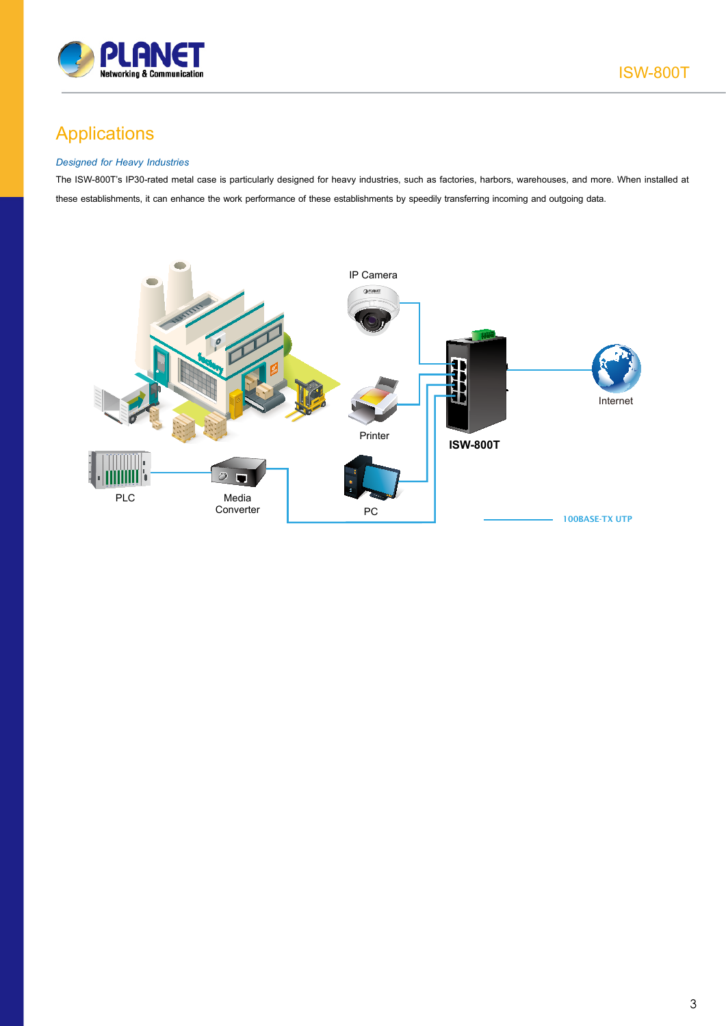

## Applications

#### *Designed for Heavy Industries*

The ISW-800T's IP30-rated metal case is particularly designed for heavy industries, such as factories, harbors, warehouses, and more. When installed at these establishments, it can enhance the work performance of these establishments by speedily transferring incoming and outgoing data.

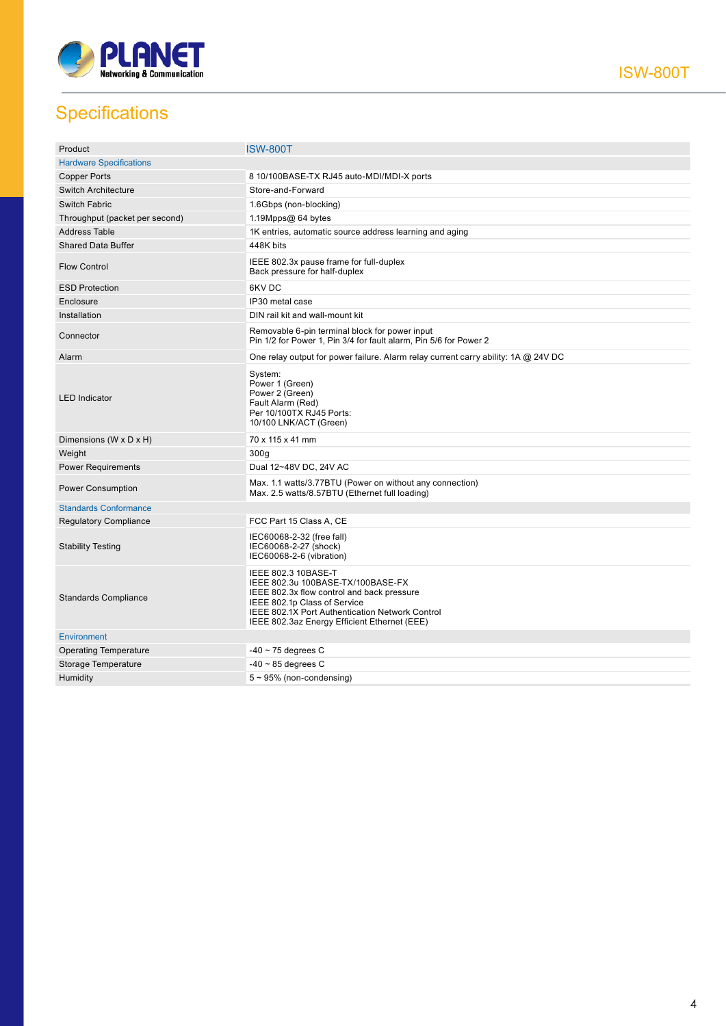

ISW-800T

## **Specifications**

| Product                        | <b>ISW-800T</b>                                                                                                                                                                                                                           |
|--------------------------------|-------------------------------------------------------------------------------------------------------------------------------------------------------------------------------------------------------------------------------------------|
| <b>Hardware Specifications</b> |                                                                                                                                                                                                                                           |
| <b>Copper Ports</b>            | 8 10/100BASE-TX RJ45 auto-MDI/MDI-X ports                                                                                                                                                                                                 |
| <b>Switch Architecture</b>     | Store-and-Forward                                                                                                                                                                                                                         |
| <b>Switch Fabric</b>           | 1.6Gbps (non-blocking)                                                                                                                                                                                                                    |
| Throughput (packet per second) | 1.19Mpps@ 64 bytes                                                                                                                                                                                                                        |
| <b>Address Table</b>           | 1K entries, automatic source address learning and aging                                                                                                                                                                                   |
| <b>Shared Data Buffer</b>      | 448K bits                                                                                                                                                                                                                                 |
| <b>Flow Control</b>            | IEEE 802.3x pause frame for full-duplex<br>Back pressure for half-duplex                                                                                                                                                                  |
| <b>ESD Protection</b>          | 6KV DC                                                                                                                                                                                                                                    |
| Enclosure                      | IP30 metal case                                                                                                                                                                                                                           |
| Installation                   | DIN rail kit and wall-mount kit                                                                                                                                                                                                           |
| Connector                      | Removable 6-pin terminal block for power input<br>Pin 1/2 for Power 1, Pin 3/4 for fault alarm, Pin 5/6 for Power 2                                                                                                                       |
| Alarm                          | One relay output for power failure. Alarm relay current carry ability: 1A @ 24V DC                                                                                                                                                        |
| <b>LED</b> Indicator           | System:<br>Power 1 (Green)<br>Power 2 (Green)<br>Fault Alarm (Red)<br>Per 10/100TX RJ45 Ports:<br>10/100 LNK/ACT (Green)                                                                                                                  |
| Dimensions (W x D x H)         | 70 x 115 x 41 mm                                                                                                                                                                                                                          |
| Weight                         | 300q                                                                                                                                                                                                                                      |
| <b>Power Requirements</b>      | Dual 12~48V DC, 24V AC                                                                                                                                                                                                                    |
| <b>Power Consumption</b>       | Max. 1.1 watts/3.77BTU (Power on without any connection)<br>Max. 2.5 watts/8.57BTU (Ethernet full loading)                                                                                                                                |
| <b>Standards Conformance</b>   |                                                                                                                                                                                                                                           |
| <b>Regulatory Compliance</b>   | FCC Part 15 Class A, CE                                                                                                                                                                                                                   |
| <b>Stability Testing</b>       | IEC60068-2-32 (free fall)<br>IEC60068-2-27 (shock)<br>IEC60068-2-6 (vibration)                                                                                                                                                            |
| <b>Standards Compliance</b>    | IEEE 802.3 10BASE-T<br>IEEE 802.3u 100BASE-TX/100BASE-FX<br>IEEE 802.3x flow control and back pressure<br>IEEE 802.1p Class of Service<br>IEEE 802.1X Port Authentication Network Control<br>IEEE 802.3az Energy Efficient Ethernet (EEE) |
| <b>Environment</b>             |                                                                                                                                                                                                                                           |
| <b>Operating Temperature</b>   | $-40 \sim 75$ degrees C                                                                                                                                                                                                                   |
| Storage Temperature            | $-40 \sim 85$ degrees C                                                                                                                                                                                                                   |
| Humidity                       | $5 \sim 95\%$ (non-condensing)                                                                                                                                                                                                            |